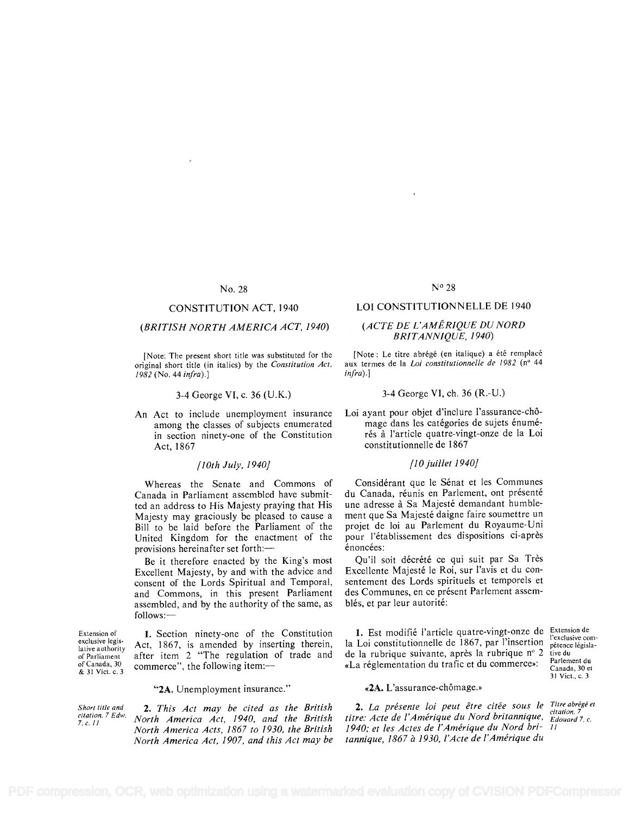# No. 28

## CONSTITUTION ACT, 1940

# (BRITISH NORTH AMERICA ACT, 1940)

[Note: The present short title was substituted for the original short title (in italics) by the Constitution Act, 1982 (No. 44 infra).]

#### 3-4 George VI, c. 36 (U.K.)

An Act to include unemployment insurance among the classes of subjects enumerated in section ninety-one of the Constitution Act, 1867

### /10th July, 1940]

Whereas the Senate and Commons of Canada in Parliament assembled have submitted an address to His Majesty praying that His Majesty may graciously be pleased to cause a Bill to be laid before the Parliament of the United Kingdom for the enactment of the provisions hereinafter set forth:-

Be it therefore enacted by the King's most Excellent Majesty, by and with the advice and consent of the Lords Spiritual and Temporal, and Commons, in this present Parliament assembled, and by the authority of the same, as follows:-

Extension of exclusive legislative authority of Parliament of Canada, 30 & 31 Vict. c. 3

1. Section ninety-one of the Constitution Act, 1867, is amended by inserting therein, after item 2 "The regulation of trade and commerce", the following item:-

#### "2A. Unemployment insurance."

Short title and citation. 7 Edw. 7, c. H

2. This Act may be cited as the British North America Act, 1940, and the British North America Acts, 1867 to 1930, the British North America Act, 1907, and this Act may be

### N° 28

#### LOI CONSTITUTIONNELLE DE 1940

## (ACTE DE L'AMERIQUE DU NORD BRITANNIQUE, 1940)

[Note : Le titre abrégé (en italique) a été remplacé aux termes de la Loi constitutionnelle de 1982 (n° 44  $infra$ ).

#### 3-4 George VI, ch. 36 (R.-U.)

Loi ayant pour objet d'inclure l'assurance-chômage dans les catégories de sujets énumérés à l'article quatre-vingt-onze de la Loi constitutionnelle de 1867

# 110 juillet 1940]

Considérant que le Sénat et les Communes du Canada, réunis en Parlement, ont présenté une adresse à Sa Majesté demandant humblement que Sa Majeste daigne faire soumettre un projet de loi au Parlement du Royaume-Uni pour l'etablissement des dispositions ci-apres énoncées:

Qu'il soit décrété ce qui suit par Sa Très Excellente Majesté le Roi, sur l'avis et du consentement des Lords spirituels et temporels et des Communes, en ce présent Parlement assemblés, et par leur autorité:

1. Est modifié l'article quatre-vingt-onze de Extension de la Loi constitutionnelle de 1867, par l'insertion de la rubrique suivante, apres la rubrique n° 2 «La réglementation du trafic et du commerce»:

#### «2A. L'assurance-chômage.»

2. La présente loi peut être citée sous le Titre abrégéet titre: Acte de l'Amérique du Nord britannique,  $\frac{cu^2}{Edouard}$  7, c. 1940; et les Actes de l'Amérique du Nord bri- 11 tannique, 1867 à 1930, l'Acte de l'Amérique du

l'exclusive compétence législative du Parlement du Canada, 30 et 31 Viet., c. 3